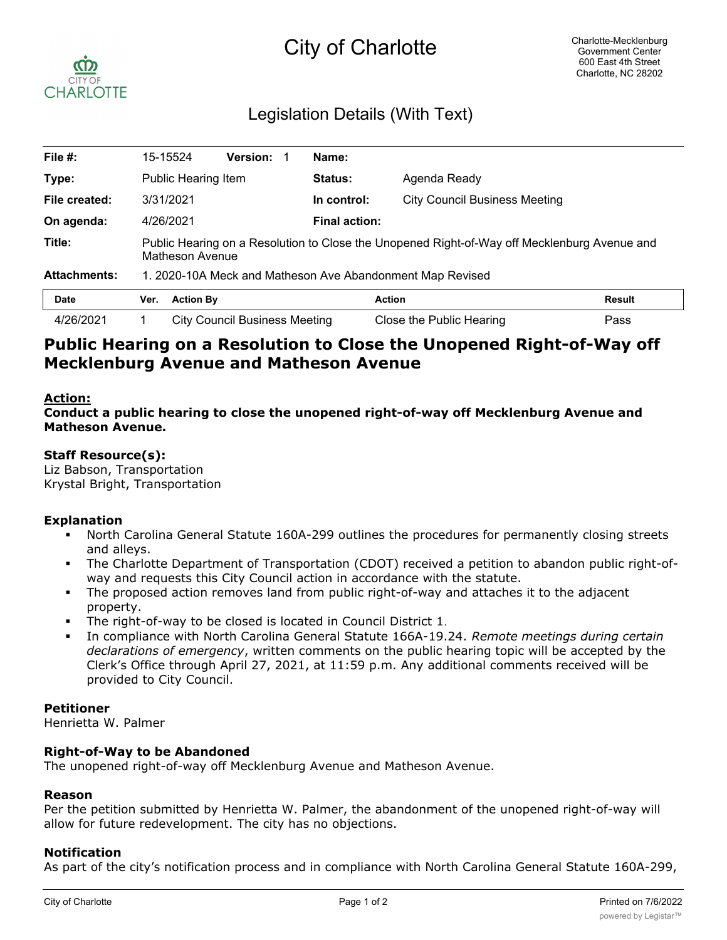# City of Charlotte



# Legislation Details (With Text)

| File #:             |                                                                                                                 | 15-15524         | <b>Version:</b>                      |  | Name:         |                                      |               |  |
|---------------------|-----------------------------------------------------------------------------------------------------------------|------------------|--------------------------------------|--|---------------|--------------------------------------|---------------|--|
| Type:               | <b>Public Hearing Item</b>                                                                                      |                  |                                      |  | Status:       | Agenda Ready                         |               |  |
| File created:       | 3/31/2021                                                                                                       |                  |                                      |  | In control:   | <b>City Council Business Meeting</b> |               |  |
| On agenda:          | 4/26/2021                                                                                                       |                  |                                      |  | Final action: |                                      |               |  |
| Title:              | Public Hearing on a Resolution to Close the Unopened Right-of-Way off Mecklenburg Avenue and<br>Matheson Avenue |                  |                                      |  |               |                                      |               |  |
| <b>Attachments:</b> | 1. 2020-10A Meck and Matheson Ave Abandonment Map Revised                                                       |                  |                                      |  |               |                                      |               |  |
| <b>Date</b>         | Ver.                                                                                                            | <b>Action By</b> |                                      |  |               | <b>Action</b>                        | <b>Result</b> |  |
| 4/26/2021           |                                                                                                                 |                  | <b>City Council Business Meeting</b> |  |               | Close the Public Hearing             | Pass          |  |

# **Public Hearing on a Resolution to Close the Unopened Right-of-Way off Mecklenburg Avenue and Matheson Avenue**

#### **Action:**

**Conduct a public hearing to close the unopened right-of-way off Mecklenburg Avenue and Matheson Avenue.**

#### **Staff Resource(s):**

Liz Babson, Transportation Krystal Bright, Transportation

# **Explanation**

- § North Carolina General Statute 160A-299 outlines the procedures for permanently closing streets and alleys.
- The Charlotte Department of Transportation (CDOT) received a petition to abandon public right-ofway and requests this City Council action in accordance with the statute.
- The proposed action removes land from public right-of-way and attaches it to the adjacent property.
- The right-of-way to be closed is located in Council District 1.
- § In compliance with North Carolina General Statute 166A-19.24. *Remote meetings during certain declarations of emergency*, written comments on the public hearing topic will be accepted by the Clerk's Office through April 27, 2021, at 11:59 p.m. Any additional comments received will be provided to City Council.

#### **Petitioner**

Henrietta W. Palmer

# **Right-of-Way to be Abandoned**

The unopened right-of-way off Mecklenburg Avenue and Matheson Avenue.

#### **Reason**

Per the petition submitted by Henrietta W. Palmer, the abandonment of the unopened right-of-way will allow for future redevelopment. The city has no objections.

# **Notification**

As part of the city's notification process and in compliance with North Carolina General Statute 160A-299,